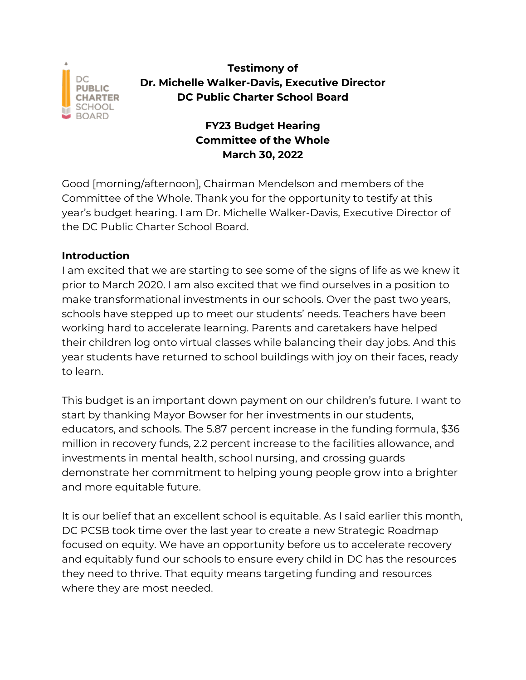

**Testimony of Dr. Michelle Walker-Davis, Executive Director DC Public Charter School Board**

# **FY23 Budget Hearing Committee of the Whole March 30, 2022**

Good [morning/afternoon], Chairman Mendelson and members of the Committee of the Whole. Thank you for the opportunity to testify at this year's budget hearing. I am Dr. Michelle Walker-Davis, Executive Director of the DC Public Charter School Board.

# **Introduction**

I am excited that we are starting to see some of the signs of life as we knew it prior to March 2020. I am also excited that we find ourselves in a position to make transformational investments in our schools. Over the past two years, schools have stepped up to meet our students' needs. Teachers have been working hard to accelerate learning. Parents and caretakers have helped their children log onto virtual classes while balancing their day jobs. And this year students have returned to school buildings with joy on their faces, ready to learn.

This budget is an important down payment on our children's future. I want to start by thanking Mayor Bowser for her investments in our students, educators, and schools. The 5.87 percent increase in the funding formula, \$36 million in recovery funds, 2.2 percent increase to the facilities allowance, and investments in mental health, school nursing, and crossing guards demonstrate her commitment to helping young people grow into a brighter and more equitable future.

It is our belief that an excellent school is equitable. As I said earlier this month, DC PCSB took time over the last year to create a new Strategic Roadmap focused on equity. We have an opportunity before us to accelerate recovery and equitably fund our schools to ensure every child in DC has the resources they need to thrive. That equity means targeting funding and resources where they are most needed.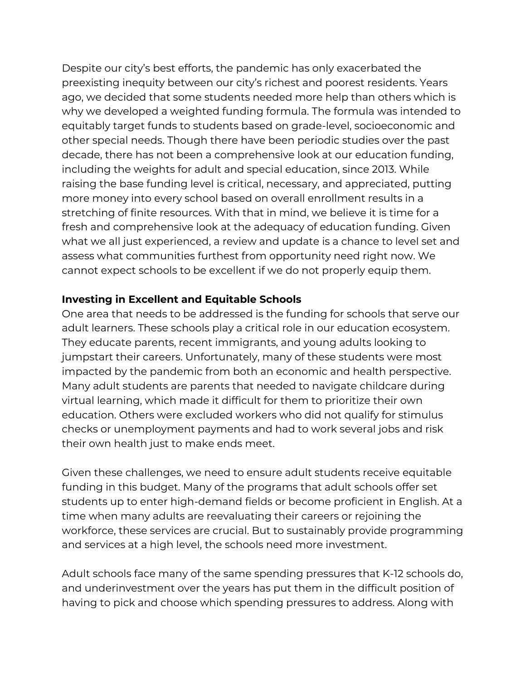Despite our city's best efforts, the pandemic has only exacerbated the preexisting inequity between our city's richest and poorest residents. Years ago, we decided that some students needed more help than others which is why we developed a weighted funding formula. The formula was intended to equitably target funds to students based on grade-level, socioeconomic and other special needs. Though there have been periodic studies over the past decade, there has not been a comprehensive look at our education funding, including the weights for adult and special education, since 2013. While raising the base funding level is critical, necessary, and appreciated, putting more money into every school based on overall enrollment results in a stretching of finite resources. With that in mind, we believe it is time for a fresh and comprehensive look at the adequacy of education funding. Given what we all just experienced, a review and update is a chance to level set and assess what communities furthest from opportunity need right now. We cannot expect schools to be excellent if we do not properly equip them.

### **Investing in Excellent and Equitable Schools**

One area that needs to be addressed is the funding for schools that serve our adult learners. These schools play a critical role in our education ecosystem. They educate parents, recent immigrants, and young adults looking to jumpstart their careers. Unfortunately, many of these students were most impacted by the pandemic from both an economic and health perspective. Many adult students are parents that needed to navigate childcare during virtual learning, which made it difficult for them to prioritize their own education. Others were excluded workers who did not qualify for stimulus checks or unemployment payments and had to work several jobs and risk their own health just to make ends meet.

Given these challenges, we need to ensure adult students receive equitable funding in this budget. Many of the programs that adult schools offer set students up to enter high-demand fields or become proficient in English. At a time when many adults are reevaluating their careers or rejoining the workforce, these services are crucial. But to sustainably provide programming and services at a high level, the schools need more investment.

Adult schools face many of the same spending pressures that K-12 schools do, and underinvestment over the years has put them in the difficult position of having to pick and choose which spending pressures to address. Along with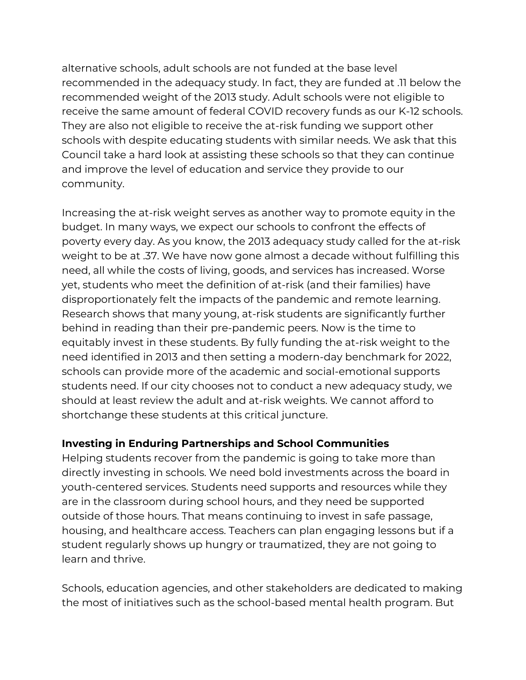alternative schools, adult schools are not funded at the base level recommended in the adequacy study. In fact, they are funded at .11 below the recommended weight of the 2013 study. Adult schools were not eligible to receive the same amount of federal COVID recovery funds as our K-12 schools. They are also not eligible to receive the at-risk funding we support other schools with despite educating students with similar needs. We ask that this Council take a hard look at assisting these schools so that they can continue and improve the level of education and service they provide to our community.

Increasing the at-risk weight serves as another way to promote equity in the budget. In many ways, we expect our schools to confront the effects of poverty every day. As you know, the 2013 adequacy study called for the at-risk weight to be at .37. We have now gone almost a decade without fulfilling this need, all while the costs of living, goods, and services has increased. Worse yet, students who meet the definition of at-risk (and their families) have disproportionately felt the impacts of the pandemic and remote learning. Research shows that many young, at-risk students are significantly further behind in reading than their pre-pandemic peers. Now is the time to equitably invest in these students. By fully funding the at-risk weight to the need identified in 2013 and then setting a modern-day benchmark for 2022, schools can provide more of the academic and social-emotional supports students need. If our city chooses not to conduct a new adequacy study, we should at least review the adult and at-risk weights. We cannot afford to shortchange these students at this critical juncture.

# **Investing in Enduring Partnerships and School Communities**

Helping students recover from the pandemic is going to take more than directly investing in schools. We need bold investments across the board in youth-centered services. Students need supports and resources while they are in the classroom during school hours, and they need be supported outside of those hours. That means continuing to invest in safe passage, housing, and healthcare access. Teachers can plan engaging lessons but if a student regularly shows up hungry or traumatized, they are not going to learn and thrive.

Schools, education agencies, and other stakeholders are dedicated to making the most of initiatives such as the school-based mental health program. But